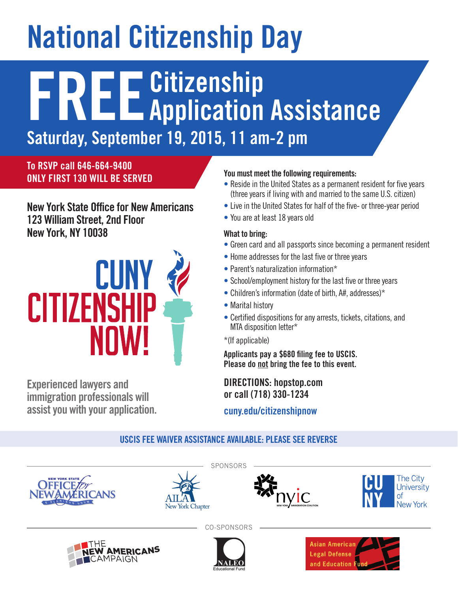# **National Citizenship Day**

## **FREECitizenship Application Assistance**

**Saturday, September 19, 2015, 11 am-2 pm**

**To RSVP call 646-664-9400 ONLY FIRST 130 WILL BE SERVED**

**New York State Office for New Americans 123 William Street, 2nd Floor New York, NY 10038**



**Experienced lawyers and immigration professionals will assist you with your application.**

#### **You must meet the following requirements:**

- Reside in the United States as a permanent resident for five years (three years if living with and married to the same U.S. citizen)
- Live in the United States for half of the five- or three-year period
- You are at least 18 years old

#### **What to bring:**

- Green card and all passports since becoming a permanent resident
- Home addresses for the last five or three years
- Parent's naturalization information\*
- School/employment history for the last five or three years
- Children's information (date of birth, A#, addresses)\*
- Marital history
- Certified dispositions for any arrests, tickets, citations, and MTA disposition letter\*

\*(If applicable)

**Applicants pay a \$680 filing fee to USCIS. Please do not bring the fee to this event.**

**DIRECTIONS: hopstop.com or call (718) 330-1234**

**cuny.edu/citizenshipnow**

#### **USCIS FEE WAIVER ASSISTANCE AVAILABLE: PLEASE SEE REVERSE**





**IMERICANS** 

AMPAIGN





CO-SPONSORS